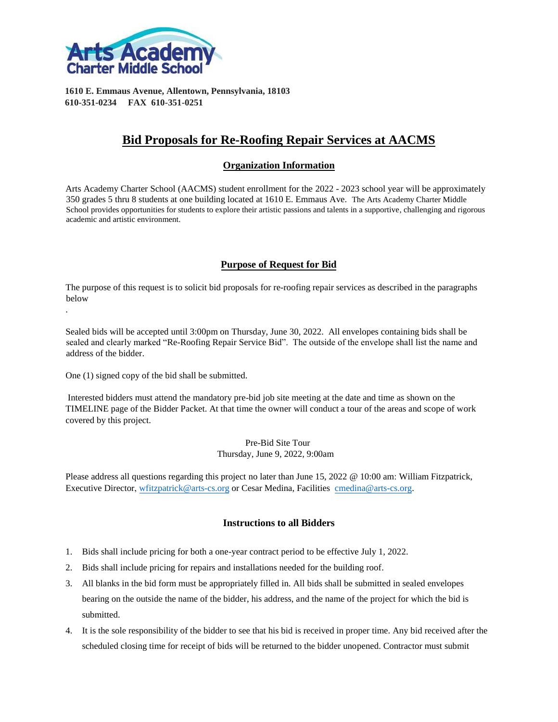

**1610 E. Emmaus Avenue, Allentown, Pennsylvania, 18103 610-351-0234 FAX 610-351-0251** 

## **Bid Proposals for Re-Roofing Repair Services at AACMS**

### **Organization Information**

Arts Academy Charter School (AACMS) student enrollment for the 2022 - 2023 school year will be approximately 350 grades 5 thru 8 students at one building located at 1610 E. Emmaus Ave. The Arts Academy Charter Middle School provides opportunities for students to explore their artistic passions and talents in a supportive, challenging and rigorous academic and artistic environment.

### **Purpose of Request for Bid**

The purpose of this request is to solicit bid proposals for re-roofing repair services as described in the paragraphs below

Sealed bids will be accepted until 3:00pm on Thursday, June 30, 2022. All envelopes containing bids shall be sealed and clearly marked "Re-Roofing Repair Service Bid". The outside of the envelope shall list the name and address of the bidder.

One (1) signed copy of the bid shall be submitted.

.

Interested bidders must attend the mandatory pre-bid job site meeting at the date and time as shown on the TIMELINE page of the Bidder Packet. At that time the owner will conduct a tour of the areas and scope of work covered by this project.

> Pre-Bid Site Tour Thursday, June 9, 2022, 9:00am

Please address all questions regarding this project no later than June 15, 2022 @ 10:00 am: William Fitzpatrick, Executive Director, [wfitzpatrick@arts-cs.org](mailto:wfitzpatrick@arts-cs.org) or Cesar Medina, Facilities [cmedina@arts-cs.org.](mailto:cmedina@arts-cs.org) 

### **Instructions to all Bidders**

- 1. Bids shall include pricing for both a one-year contract period to be effective July 1, 2022.
- 2. Bids shall include pricing for repairs and installations needed for the building roof.
- 3. All blanks in the bid form must be appropriately filled in. All bids shall be submitted in sealed envelopes bearing on the outside the name of the bidder, his address, and the name of the project for which the bid is submitted.
- 4. It is the sole responsibility of the bidder to see that his bid is received in proper time. Any bid received after the scheduled closing time for receipt of bids will be returned to the bidder unopened. Contractor must submit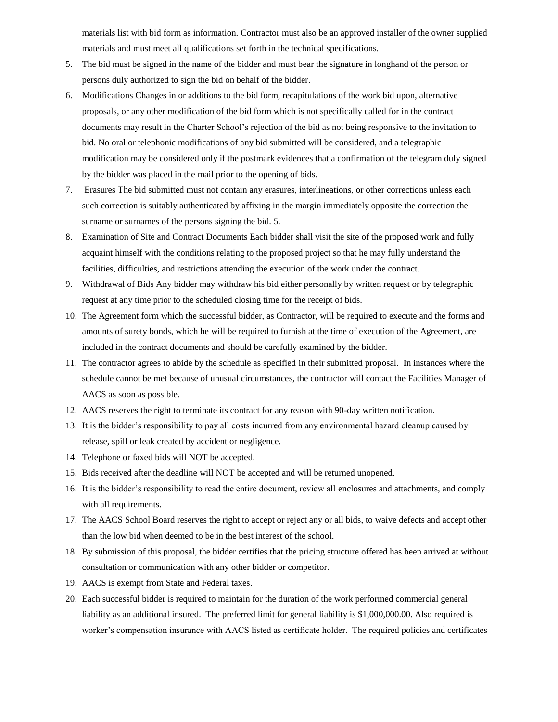materials list with bid form as information. Contractor must also be an approved installer of the owner supplied materials and must meet all qualifications set forth in the technical specifications.

- 5. The bid must be signed in the name of the bidder and must bear the signature in longhand of the person or persons duly authorized to sign the bid on behalf of the bidder.
- 6. Modifications Changes in or additions to the bid form, recapitulations of the work bid upon, alternative proposals, or any other modification of the bid form which is not specifically called for in the contract documents may result in the Charter School's rejection of the bid as not being responsive to the invitation to bid. No oral or telephonic modifications of any bid submitted will be considered, and a telegraphic modification may be considered only if the postmark evidences that a confirmation of the telegram duly signed by the bidder was placed in the mail prior to the opening of bids.
- 7. Erasures The bid submitted must not contain any erasures, interlineations, or other corrections unless each such correction is suitably authenticated by affixing in the margin immediately opposite the correction the surname or surnames of the persons signing the bid. 5.
- 8. Examination of Site and Contract Documents Each bidder shall visit the site of the proposed work and fully acquaint himself with the conditions relating to the proposed project so that he may fully understand the facilities, difficulties, and restrictions attending the execution of the work under the contract.
- 9. Withdrawal of Bids Any bidder may withdraw his bid either personally by written request or by telegraphic request at any time prior to the scheduled closing time for the receipt of bids.
- 10. The Agreement form which the successful bidder, as Contractor, will be required to execute and the forms and amounts of surety bonds, which he will be required to furnish at the time of execution of the Agreement, are included in the contract documents and should be carefully examined by the bidder.
- 11. The contractor agrees to abide by the schedule as specified in their submitted proposal. In instances where the schedule cannot be met because of unusual circumstances, the contractor will contact the Facilities Manager of AACS as soon as possible.
- 12. AACS reserves the right to terminate its contract for any reason with 90-day written notification.
- 13. It is the bidder's responsibility to pay all costs incurred from any environmental hazard cleanup caused by release, spill or leak created by accident or negligence.
- 14. Telephone or faxed bids will NOT be accepted.
- 15. Bids received after the deadline will NOT be accepted and will be returned unopened.
- 16. It is the bidder's responsibility to read the entire document, review all enclosures and attachments, and comply with all requirements.
- 17. The AACS School Board reserves the right to accept or reject any or all bids, to waive defects and accept other than the low bid when deemed to be in the best interest of the school.
- 18. By submission of this proposal, the bidder certifies that the pricing structure offered has been arrived at without consultation or communication with any other bidder or competitor.
- 19. AACS is exempt from State and Federal taxes.
- 20. Each successful bidder is required to maintain for the duration of the work performed commercial general liability as an additional insured. The preferred limit for general liability is \$1,000,000.00. Also required is worker's compensation insurance with AACS listed as certificate holder. The required policies and certificates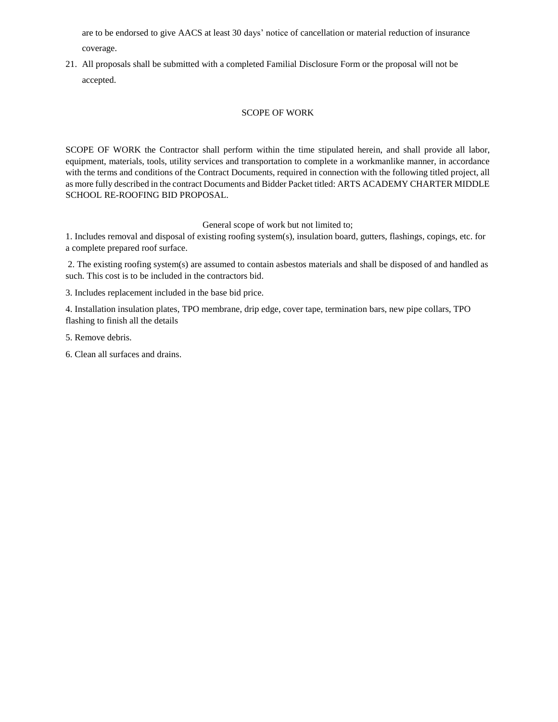are to be endorsed to give AACS at least 30 days' notice of cancellation or material reduction of insurance coverage.

21. All proposals shall be submitted with a completed Familial Disclosure Form or the proposal will not be accepted.

#### SCOPE OF WORK

SCOPE OF WORK the Contractor shall perform within the time stipulated herein, and shall provide all labor, equipment, materials, tools, utility services and transportation to complete in a workmanlike manner, in accordance with the terms and conditions of the Contract Documents, required in connection with the following titled project, all as more fully described in the contract Documents and Bidder Packet titled: ARTS ACADEMY CHARTER MIDDLE SCHOOL RE-ROOFING BID PROPOSAL.

General scope of work but not limited to;

1. Includes removal and disposal of existing roofing system(s), insulation board, gutters, flashings, copings, etc. for a complete prepared roof surface.

2. The existing roofing system(s) are assumed to contain asbestos materials and shall be disposed of and handled as such. This cost is to be included in the contractors bid.

3. Includes replacement included in the base bid price.

4. Installation insulation plates, TPO membrane, drip edge, cover tape, termination bars, new pipe collars, TPO flashing to finish all the details

5. Remove debris.

6. Clean all surfaces and drains.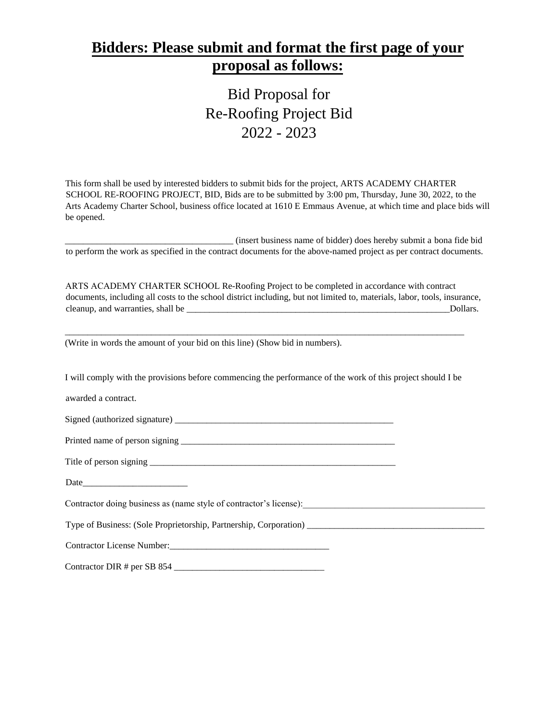# **Bidders: Please submit and format the first page of your proposal as follows:**

Bid Proposal for Re-Roofing Project Bid 2022 - 2023

This form shall be used by interested bidders to submit bids for the project, ARTS ACADEMY CHARTER SCHOOL RE-ROOFING PROJECT, BID, Bids are to be submitted by 3:00 pm, Thursday, June 30, 2022, to the Arts Academy Charter School, business office located at 1610 E Emmaus Avenue, at which time and place bids will be opened.

\_\_\_\_\_\_\_\_\_\_\_\_\_\_\_\_\_\_\_\_\_\_\_\_\_\_\_\_\_\_\_\_\_\_\_\_\_ (insert business name of bidder) does hereby submit a bona fide bid to perform the work as specified in the contract documents for the above-named project as per contract documents.

ARTS ACADEMY CHARTER SCHOOL Re-Roofing Project to be completed in accordance with contract documents, including all costs to the school district including, but not limited to, materials, labor, tools, insurance, cleanup, and warranties, shall be \_\_\_\_\_\_\_\_\_\_\_\_\_\_\_\_\_\_\_\_\_\_\_\_\_\_\_\_\_\_\_\_\_\_\_\_\_\_\_\_\_\_\_\_\_\_\_\_\_\_\_\_\_\_\_\_\_\_Dollars.

(Write in words the amount of your bid on this line) (Show bid in numbers).

I will comply with the provisions before commencing the performance of the work of this project should I be

\_\_\_\_\_\_\_\_\_\_\_\_\_\_\_\_\_\_\_\_\_\_\_\_\_\_\_\_\_\_\_\_\_\_\_\_\_\_\_\_\_\_\_\_\_\_\_\_\_\_\_\_\_\_\_\_\_\_\_\_\_\_\_\_\_\_\_\_\_\_\_\_\_\_\_\_\_\_\_\_\_\_\_\_\_\_\_\_

awarded a contract.

Signed (authorized signature) \_\_\_\_\_\_\_\_\_\_\_\_\_\_\_\_\_\_\_\_\_\_\_\_\_\_\_\_\_\_\_\_\_\_\_\_\_\_\_\_\_\_\_\_\_\_\_\_

Printed name of person signing \_\_\_\_\_\_\_\_\_\_\_\_\_\_\_\_\_\_\_\_\_\_\_\_\_\_\_\_\_\_\_\_\_\_\_\_\_\_\_\_\_\_\_\_\_\_\_

Title of person signing \_\_\_\_\_\_\_\_\_\_\_\_\_\_\_\_\_\_\_\_\_\_\_\_\_\_\_\_\_\_\_\_\_\_\_\_\_\_\_\_\_\_\_\_\_\_\_\_\_\_\_\_\_\_

Date\_\_\_\_\_\_\_\_\_\_\_\_\_\_\_\_\_\_\_\_\_\_\_

Contractor doing business as (name style of contractor's license):

Type of Business: (Sole Proprietorship, Partnership, Corporation) \_\_\_\_\_\_\_\_\_\_\_\_\_\_\_\_\_\_\_\_\_\_\_\_\_\_\_\_\_\_\_\_\_\_\_\_\_\_\_

Contractor License Number: University of the University of the University of the University of the University of the University of the University of the University of the University of the University of the University of t

Contractor DIR # per SB 854 \_\_\_\_\_\_\_\_\_\_\_\_\_\_\_\_\_\_\_\_\_\_\_\_\_\_\_\_\_\_\_\_\_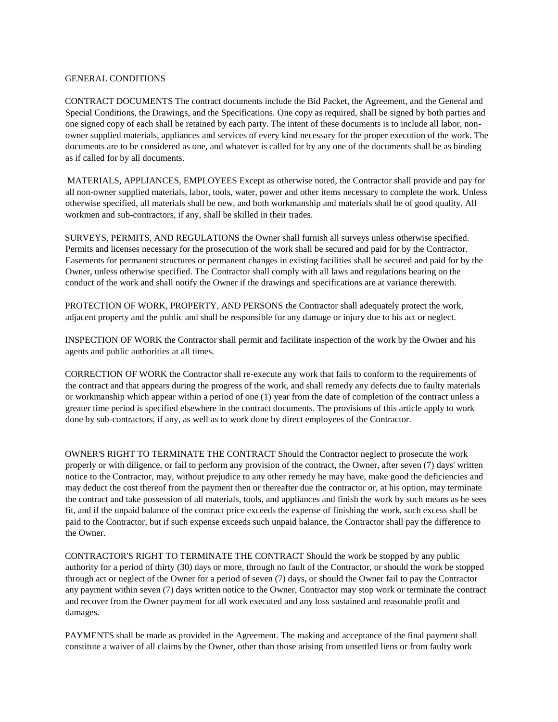#### GENERAL CONDITIONS

CONTRACT DOCUMENTS The contract documents include the Bid Packet, the Agreement, and the General and Special Conditions, the Drawings, and the Specifications. One copy as required, shall be signed by both parties and one signed copy of each shall be retained by each party. The intent of these documents is to include all labor, nonowner supplied materials, appliances and services of every kind necessary for the proper execution of the work. The documents are to be considered as one, and whatever is called for by any one of the documents shall be as binding as if called for by all documents.

MATERIALS, APPLIANCES, EMPLOYEES Except as otherwise noted, the Contractor shall provide and pay for all non-owner supplied materials, labor, tools, water, power and other items necessary to complete the work. Unless otherwise specified, all materials shall be new, and both workmanship and materials shall be of good quality. All workmen and sub-contractors, if any, shall be skilled in their trades.

SURVEYS, PERMITS, AND REGULATIONS the Owner shall furnish all surveys unless otherwise specified. Permits and licenses necessary for the prosecution of the work shall be secured and paid for by the Contractor. Easements for permanent structures or permanent changes in existing facilities shall be secured and paid for by the Owner, unless otherwise specified. The Contractor shall comply with all laws and regulations bearing on the conduct of the work and shall notify the Owner if the drawings and specifications are at variance therewith.

PROTECTION OF WORK, PROPERTY, AND PERSONS the Contractor shall adequately protect the work, adjacent property and the public and shall be responsible for any damage or injury due to his act or neglect.

INSPECTION OF WORK the Contractor shall permit and facilitate inspection of the work by the Owner and his agents and public authorities at all times.

CORRECTION OF WORK the Contractor shall re-execute any work that fails to conform to the requirements of the contract and that appears during the progress of the work, and shall remedy any defects due to faulty materials or workmanship which appear within a period of one (1) year from the date of completion of the contract unless a greater time period is specified elsewhere in the contract documents. The provisions of this article apply to work done by sub-contractors, if any, as well as to work done by direct employees of the Contractor.

OWNER'S RIGHT TO TERMINATE THE CONTRACT Should the Contractor neglect to prosecute the work properly or with diligence, or fail to perform any provision of the contract, the Owner, after seven (7) days' written notice to the Contractor, may, without prejudice to any other remedy he may have, make good the deficiencies and may deduct the cost thereof from the payment then or thereafter due the contractor or, at his option, may terminate the contract and take possession of all materials, tools, and appliances and finish the work by such means as he sees fit, and if the unpaid balance of the contract price exceeds the expense of finishing the work, such excess shall be paid to the Contractor, but if such expense exceeds such unpaid balance, the Contractor shall pay the difference to the Owner.

CONTRACTOR'S RIGHT TO TERMINATE THE CONTRACT Should the work be stopped by any public authority for a period of thirty (30) days or more, through no fault of the Contractor, or should the work be stopped through act or neglect of the Owner for a period of seven (7) days, or should the Owner fail to pay the Contractor any payment within seven (7) days written notice to the Owner, Contractor may stop work or terminate the contract and recover from the Owner payment for all work executed and any loss sustained and reasonable profit and damages.

PAYMENTS shall be made as provided in the Agreement. The making and acceptance of the final payment shall constitute a waiver of all claims by the Owner, other than those arising from unsettled liens or from faulty work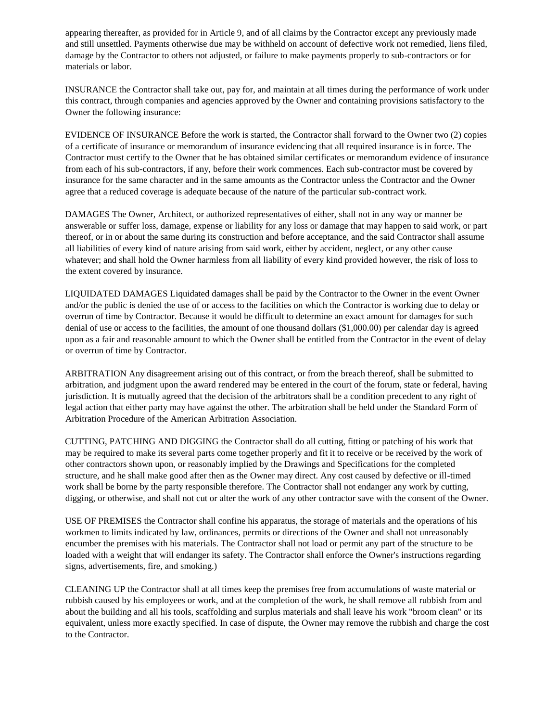appearing thereafter, as provided for in Article 9, and of all claims by the Contractor except any previously made and still unsettled. Payments otherwise due may be withheld on account of defective work not remedied, liens filed, damage by the Contractor to others not adjusted, or failure to make payments properly to sub-contractors or for materials or labor.

INSURANCE the Contractor shall take out, pay for, and maintain at all times during the performance of work under this contract, through companies and agencies approved by the Owner and containing provisions satisfactory to the Owner the following insurance:

EVIDENCE OF INSURANCE Before the work is started, the Contractor shall forward to the Owner two (2) copies of a certificate of insurance or memorandum of insurance evidencing that all required insurance is in force. The Contractor must certify to the Owner that he has obtained similar certificates or memorandum evidence of insurance from each of his sub-contractors, if any, before their work commences. Each sub-contractor must be covered by insurance for the same character and in the same amounts as the Contractor unless the Contractor and the Owner agree that a reduced coverage is adequate because of the nature of the particular sub-contract work.

DAMAGES The Owner, Architect, or authorized representatives of either, shall not in any way or manner be answerable or suffer loss, damage, expense or liability for any loss or damage that may happen to said work, or part thereof, or in or about the same during its construction and before acceptance, and the said Contractor shall assume all liabilities of every kind of nature arising from said work, either by accident, neglect, or any other cause whatever; and shall hold the Owner harmless from all liability of every kind provided however, the risk of loss to the extent covered by insurance.

LIQUIDATED DAMAGES Liquidated damages shall be paid by the Contractor to the Owner in the event Owner and/or the public is denied the use of or access to the facilities on which the Contractor is working due to delay or overrun of time by Contractor. Because it would be difficult to determine an exact amount for damages for such denial of use or access to the facilities, the amount of one thousand dollars (\$1,000.00) per calendar day is agreed upon as a fair and reasonable amount to which the Owner shall be entitled from the Contractor in the event of delay or overrun of time by Contractor.

ARBITRATION Any disagreement arising out of this contract, or from the breach thereof, shall be submitted to arbitration, and judgment upon the award rendered may be entered in the court of the forum, state or federal, having jurisdiction. It is mutually agreed that the decision of the arbitrators shall be a condition precedent to any right of legal action that either party may have against the other. The arbitration shall be held under the Standard Form of Arbitration Procedure of the American Arbitration Association.

CUTTING, PATCHING AND DIGGING the Contractor shall do all cutting, fitting or patching of his work that may be required to make its several parts come together properly and fit it to receive or be received by the work of other contractors shown upon, or reasonably implied by the Drawings and Specifications for the completed structure, and he shall make good after then as the Owner may direct. Any cost caused by defective or ill-timed work shall be borne by the party responsible therefore. The Contractor shall not endanger any work by cutting, digging, or otherwise, and shall not cut or alter the work of any other contractor save with the consent of the Owner.

USE OF PREMISES the Contractor shall confine his apparatus, the storage of materials and the operations of his workmen to limits indicated by law, ordinances, permits or directions of the Owner and shall not unreasonably encumber the premises with his materials. The Contractor shall not load or permit any part of the structure to be loaded with a weight that will endanger its safety. The Contractor shall enforce the Owner's instructions regarding signs, advertisements, fire, and smoking.)

CLEANING UP the Contractor shall at all times keep the premises free from accumulations of waste material or rubbish caused by his employees or work, and at the completion of the work, he shall remove all rubbish from and about the building and all his tools, scaffolding and surplus materials and shall leave his work "broom clean" or its equivalent, unless more exactly specified. In case of dispute, the Owner may remove the rubbish and charge the cost to the Contractor.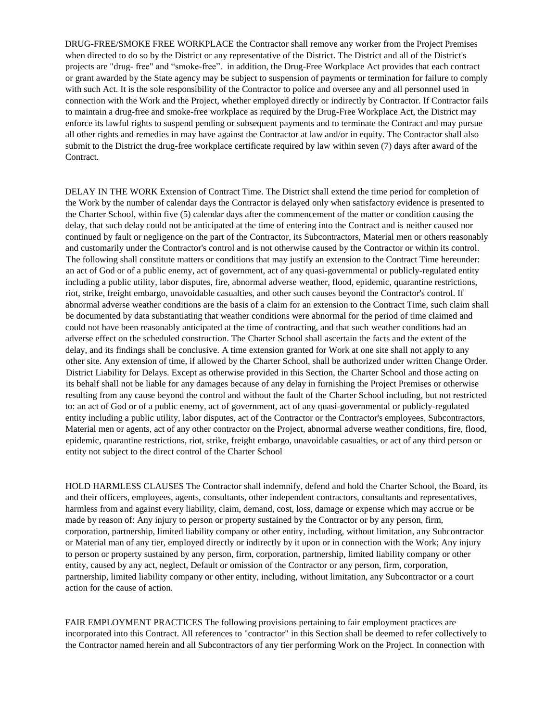DRUG-FREE/SMOKE FREE WORKPLACE the Contractor shall remove any worker from the Project Premises when directed to do so by the District or any representative of the District. The District and all of the District's projects are "drug- free" and "smoke-free". in addition, the Drug-Free Workplace Act provides that each contract or grant awarded by the State agency may be subject to suspension of payments or termination for failure to comply with such Act. It is the sole responsibility of the Contractor to police and oversee any and all personnel used in connection with the Work and the Project, whether employed directly or indirectly by Contractor. If Contractor fails to maintain a drug-free and smoke-free workplace as required by the Drug-Free Workplace Act, the District may enforce its lawful rights to suspend pending or subsequent payments and to terminate the Contract and may pursue all other rights and remedies in may have against the Contractor at law and/or in equity. The Contractor shall also submit to the District the drug-free workplace certificate required by law within seven (7) days after award of the Contract.

DELAY IN THE WORK Extension of Contract Time. The District shall extend the time period for completion of the Work by the number of calendar days the Contractor is delayed only when satisfactory evidence is presented to the Charter School, within five (5) calendar days after the commencement of the matter or condition causing the delay, that such delay could not be anticipated at the time of entering into the Contract and is neither caused nor continued by fault or negligence on the part of the Contractor, its Subcontractors, Material men or others reasonably and customarily under the Contractor's control and is not otherwise caused by the Contractor or within its control. The following shall constitute matters or conditions that may justify an extension to the Contract Time hereunder: an act of God or of a public enemy, act of government, act of any quasi-governmental or publicly-regulated entity including a public utility, labor disputes, fire, abnormal adverse weather, flood, epidemic, quarantine restrictions, riot, strike, freight embargo, unavoidable casualties, and other such causes beyond the Contractor's control. If abnormal adverse weather conditions are the basis of a claim for an extension to the Contract Time, such claim shall be documented by data substantiating that weather conditions were abnormal for the period of time claimed and could not have been reasonably anticipated at the time of contracting, and that such weather conditions had an adverse effect on the scheduled construction. The Charter School shall ascertain the facts and the extent of the delay, and its findings shall be conclusive. A time extension granted for Work at one site shall not apply to any other site. Any extension of time, if allowed by the Charter School, shall be authorized under written Change Order. District Liability for Delays. Except as otherwise provided in this Section, the Charter School and those acting on its behalf shall not be liable for any damages because of any delay in furnishing the Project Premises or otherwise resulting from any cause beyond the control and without the fault of the Charter School including, but not restricted to: an act of God or of a public enemy, act of government, act of any quasi-governmental or publicly-regulated entity including a public utility, labor disputes, act of the Contractor or the Contractor's employees, Subcontractors, Material men or agents, act of any other contractor on the Project, abnormal adverse weather conditions, fire, flood, epidemic, quarantine restrictions, riot, strike, freight embargo, unavoidable casualties, or act of any third person or entity not subject to the direct control of the Charter School

HOLD HARMLESS CLAUSES The Contractor shall indemnify, defend and hold the Charter School, the Board, its and their officers, employees, agents, consultants, other independent contractors, consultants and representatives, harmless from and against every liability, claim, demand, cost, loss, damage or expense which may accrue or be made by reason of: Any injury to person or property sustained by the Contractor or by any person, firm, corporation, partnership, limited liability company or other entity, including, without limitation, any Subcontractor or Material man of any tier, employed directly or indirectly by it upon or in connection with the Work; Any injury to person or property sustained by any person, firm, corporation, partnership, limited liability company or other entity, caused by any act, neglect, Default or omission of the Contractor or any person, firm, corporation, partnership, limited liability company or other entity, including, without limitation, any Subcontractor or a court action for the cause of action.

FAIR EMPLOYMENT PRACTICES The following provisions pertaining to fair employment practices are incorporated into this Contract. All references to "contractor" in this Section shall be deemed to refer collectively to the Contractor named herein and all Subcontractors of any tier performing Work on the Project. In connection with